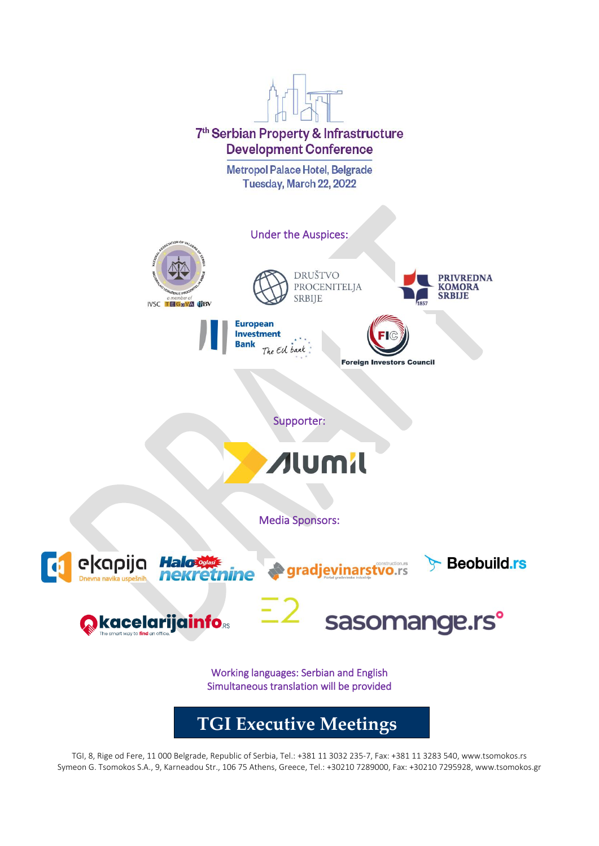

TGI, 8, Rige od Fere, 11 000 Belgrade, Republic of Serbia, Tel.: +381 11 3032 235-7, Fax: +381 11 3283 540, www.tsomokos.rs Symeon G. Tsomokos S.A., 9, Karneadou Str., 106 75 Athens, Greece, Tel.: +30210 7289000, Fax: +30210 7295928, www.tsomokos.gr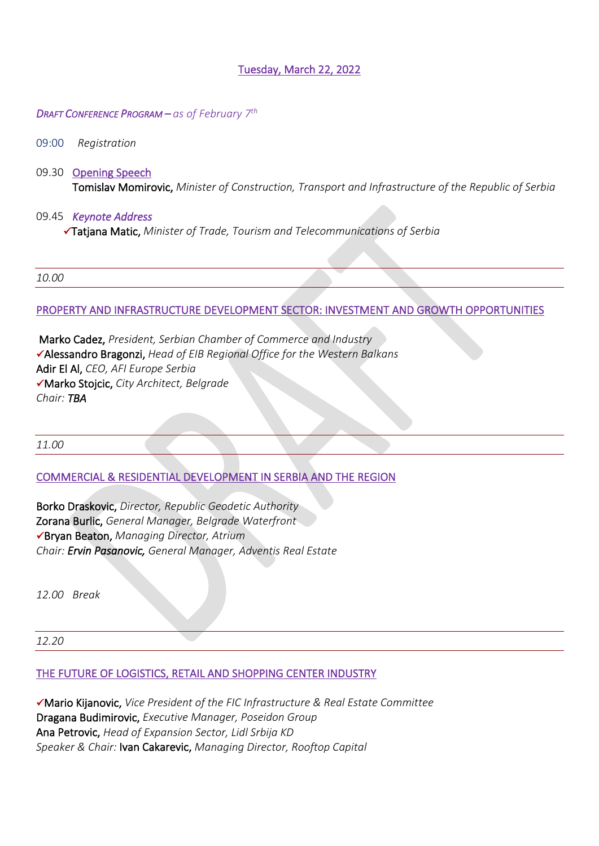# Tuesday, March 22, 2022

#### *DRAFT CONFERENCE PROGRAM – as of February 7 th*

#### 09:00 *Registration*

09.30 Opening Speech Tomislav Momirovic, *Minister of Construction, Transport and Infrastructure of the Republic of Serbia* 

#### 09.45 *Keynote Address*

✓Tatjana Matic, *Minister of Trade, Tourism and Telecommunications of Serbia*

*10.00*

#### PROPERTY AND INFRASTRUCTURE DEVELOPMENT SECTOR: INVESTMENT AND GROWTH OPPORTUNITIES

 Marko Cadez, *President, Serbian Chamber of Commerce and Industry*  ✓Alessandro Bragonzi, *Head of EIB Regional Office for the Western Balkans* Adir El Al, *CEO, AFI Europe Serbia* ✓Marko Stojcic, *City Architect, Belgrade Chair: TBA*

*11.00*

# COMMERCIAL & RESIDENTIAL DEVELOPMENT IN SERBIA AND THE REGION

Borko Draskovic, *Director, Republic Geodetic Authority* Zorana Burlic, *General Manager, Belgrade Waterfront* ✓Bryan Beaton, *Managing Director, Atrium Chair: Ervin Pasanovic, General Manager, Adventis Real Estate*

*12.00 Break* 

*12.20*

#### THE FUTURE OF LOGISTICS, RETAIL AND SHOPPING CENTER INDUSTRY

✓Mario Kijanovic, *Vice President of the FIC Infrastructure & Real Estate Committee* Dragana Budimirovic, *Executive Manager, Poseidon Group* Ana Petrovic, *Head of Expansion Sector, Lidl Srbija KD Speaker & Chair:* Ivan Cakarevic, *Managing Director, Rooftop Capital*